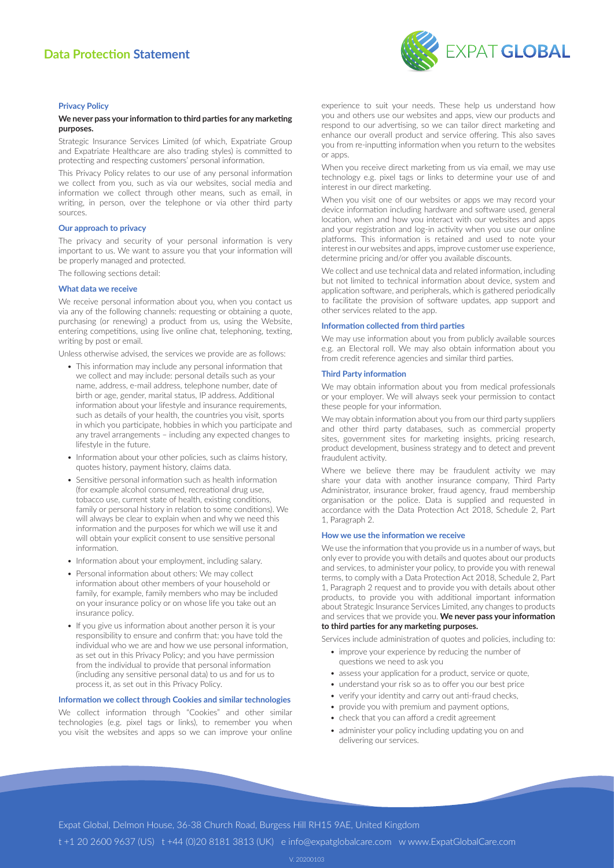# **Data Protection Statement**



### **Privacy Policy**

## **We never pass your information to third parties for any marketing purposes.**

Strategic Insurance Services Limited (of which, Expatriate Group and Expatriate Healthcare are also trading styles) is committed to protecting and respecting customers' personal information.

This Privacy Policy relates to our use of any personal information we collect from you, such as via our websites, social media and information we collect through other means, such as email, in writing, in person, over the telephone or via other third party sources.

#### **Our approach to privacy**

The privacy and security of your personal information is very important to us. We want to assure you that your information will be properly managed and protected.

The following sections detail:

## **What data we receive**

We receive personal information about you, when you contact us via any of the following channels: requesting or obtaining a quote, purchasing (or renewing) a product from us, using the Website, entering competitions, using live online chat, telephoning, texting, writing by post or email.

Unless otherwise advised, the services we provide are as follows:

- This information may include any personal information that we collect and may include: personal details such as your name, address, e-mail address, telephone number, date of birth or age, gender, marital status, IP address. Additional information about your lifestyle and insurance requirements, such as details of your health, the countries you visit, sports in which you participate, hobbies in which you participate and any travel arrangements – including any expected changes to lifestyle in the future.
- Information about your other policies, such as claims history, quotes history, payment history, claims data.
- Sensitive personal information such as health information (for example alcohol consumed, recreational drug use, tobacco use, current state of health, existing conditions, family or personal history in relation to some conditions). We will always be clear to explain when and why we need this information and the purposes for which we will use it and will obtain your explicit consent to use sensitive personal information.
- Information about your employment, including salary.
- Personal information about others: We may collect information about other members of your household or family, for example, family members who may be included on your insurance policy or on whose life you take out an insurance policy.
- If you give us information about another person it is your responsibility to ensure and confirm that: you have told the individual who we are and how we use personal information, as set out in this Privacy Policy; and you have permission from the individual to provide that personal information (including any sensitive personal data) to us and for us to process it, as set out in this Privacy Policy.

## **Information we collect through Cookies and similar technologies**

We collect information through "Cookies" and other similar technologies (e.g. pixel tags or links), to remember you when you visit the websites and apps so we can improve your online experience to suit your needs. These help us understand how you and others use our websites and apps, view our products and respond to our advertising, so we can tailor direct marketing and enhance our overall product and service offering. This also saves you from re-inputting information when you return to the websites or apps.

When you receive direct marketing from us via email, we may use technology e.g. pixel tags or links to determine your use of and interest in our direct marketing.

When you visit one of our websites or apps we may record your device information including hardware and software used, general location, when and how you interact with our websites and apps and your registration and log-in activity when you use our online platforms. This information is retained and used to note your interest in our websites and apps, improve customer use experience, determine pricing and/or offer you available discounts.

We collect and use technical data and related information, including but not limited to technical information about device, system and application software, and peripherals, which is gathered periodically to facilitate the provision of software updates, app support and other services related to the app.

## **Information collected from third parties**

We may use information about you from publicly available sources e.g. an Electoral roll. We may also obtain information about you from credit reference agencies and similar third parties.

#### **Third Party information**

We may obtain information about you from medical professionals or your employer. We will always seek your permission to contact these people for your information.

We may obtain information about you from our third party suppliers and other third party databases, such as commercial property sites, government sites for marketing insights, pricing research, product development, business strategy and to detect and prevent fraudulent activity.

Where we believe there may be fraudulent activity we may share your data with another insurance company, Third Party Administrator, insurance broker, fraud agency, fraud membership organisation or the police. Data is supplied and requested in accordance with the Data Protection Act 2018, Schedule 2, Part 1, Paragraph 2.

## **How we use the information we receive**

We use the information that you provide us in a number of ways, but only ever to provide you with details and quotes about our products and services, to administer your policy, to provide you with renewal terms, to comply with a Data Protection Act 2018, Schedule 2, Part 1, Paragraph 2 request and to provide you with details about other products, to provide you with additional important information about Strategic Insurance Services Limited, any changes to products and services that we provide you. **We never pass your information to third parties for any marketing purposes.**

Services include administration of quotes and policies, including to:

- improve your experience by reducing the number of questions we need to ask you
- assess your application for a product, service or quote,
- understand your risk so as to offer you our best price
- verify your identity and carry out anti-fraud checks,
- provide you with premium and payment options,
- check that you can afford a credit agreement
- administer your policy including updating you on and delivering our services.

Expat Global, Delmon House, 36-38 Church Road, Burgess Hill RH15 9AE, United Kingdom

t +1 20 2600 9637 (US) t +44 (0)20 8181 3813 (UK) e info@expatglobalcare.com w www.ExpatGlobalCare.com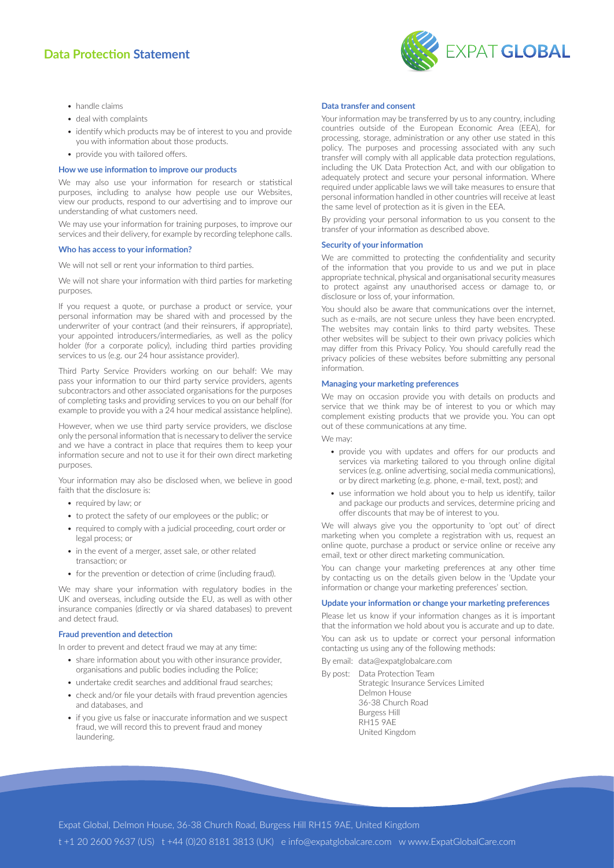# **Data Protection Statement**



- handle claims
- deal with complaints
- identify which products may be of interest to you and provide you with information about those products.
- provide you with tailored offers.

## **How we use information to improve our products**

We may also use your information for research or statistical purposes, including to analyse how people use our Websites, view our products, respond to our advertising and to improve our understanding of what customers need.

We may use your information for training purposes, to improve our services and their delivery, for example by recording telephone calls.

#### **Who has access to your information?**

We will not sell or rent your information to third parties.

We will not share your information with third parties for marketing purposes.

If you request a quote, or purchase a product or service, your personal information may be shared with and processed by the underwriter of your contract (and their reinsurers, if appropriate), your appointed introducers/intermediaries, as well as the policy holder (for a corporate policy), including third parties providing services to us (e.g. our 24 hour assistance provider).

Third Party Service Providers working on our behalf: We may pass your information to our third party service providers, agents subcontractors and other associated organisations for the purposes of completing tasks and providing services to you on our behalf (for example to provide you with a 24 hour medical assistance helpline).

However, when we use third party service providers, we disclose only the personal information that is necessary to deliver the service and we have a contract in place that requires them to keep your information secure and not to use it for their own direct marketing purposes.

Your information may also be disclosed when, we believe in good faith that the disclosure is:

- required by law; or
- to protect the safety of our employees or the public; or
- required to comply with a judicial proceeding, court order or legal process; or
- in the event of a merger, asset sale, or other related transaction; or
- for the prevention or detection of crime (including fraud).

We may share your information with regulatory bodies in the UK and overseas, including outside the EU, as well as with other insurance companies (directly or via shared databases) to prevent and detect fraud.

## **Fraud prevention and detection**

In order to prevent and detect fraud we may at any time:

- share information about you with other insurance provider, organisations and public bodies including the Police;
- undertake credit searches and additional fraud searches;
- check and/or file your details with fraud prevention agencies and databases, and
- if you give us false or inaccurate information and we suspect fraud, we will record this to prevent fraud and money laundering.

### **Data transfer and consent**

Your information may be transferred by us to any country, including countries outside of the European Economic Area (EEA), for processing, storage, administration or any other use stated in this policy. The purposes and processing associated with any such transfer will comply with all applicable data protection regulations, including the UK Data Protection Act, and with our obligation to adequately protect and secure your personal information. Where required under applicable laws we will take measures to ensure that personal information handled in other countries will receive at least the same level of protection as it is given in the EEA.

By providing your personal information to us you consent to the transfer of your information as described above.

## **Security of your information**

We are committed to protecting the confidentiality and security of the information that you provide to us and we put in place appropriate technical, physical and organisational security measures to protect against any unauthorised access or damage to, or disclosure or loss of, your information.

You should also be aware that communications over the internet, such as e-mails, are not secure unless they have been encrypted. The websites may contain links to third party websites. These other websites will be subject to their own privacy policies which may differ from this Privacy Policy. You should carefully read the privacy policies of these websites before submitting any personal information.

#### **Managing your marketing preferences**

We may on occasion provide you with details on products and service that we think may be of interest to you or which may complement existing products that we provide you. You can opt out of these communications at any time.

We may:

- provide you with updates and offers for our products and services via marketing tailored to you through online digital services (e.g. online advertising, social media communications), or by direct marketing (e.g. phone, e-mail, text, post); and
- use information we hold about you to help us identify, tailor and package our products and services, determine pricing and offer discounts that may be of interest to you.

We will always give you the opportunity to 'opt out' of direct marketing when you complete a registration with us, request an online quote, purchase a product or service online or receive any email, text or other direct marketing communication.

You can change your marketing preferences at any other time by contacting us on the details given below in the 'Update your information or change your marketing preferences' section.

## **Update your information or change your marketing preferences**

Please let us know if your information changes as it is important that the information we hold about you is accurate and up to date.

You can ask us to update or correct your personal information contacting us using any of the following methods:

- By email: data@expatglobalcare.com
- By post: Data Protection Team
	- Strategic Insurance Services Limited Delmon House 36-38 Church Road Burgess Hill RH15 9AE United Kingdom

Expat Global, Delmon House, 36-38 Church Road, Burgess Hill RH15 9AE, United Kingdom t +1 20 2600 9637 (US) t +44 (0)20 8181 3813 (UK) e info@expatglobalcare.com w www.ExpatGlobalCare.com